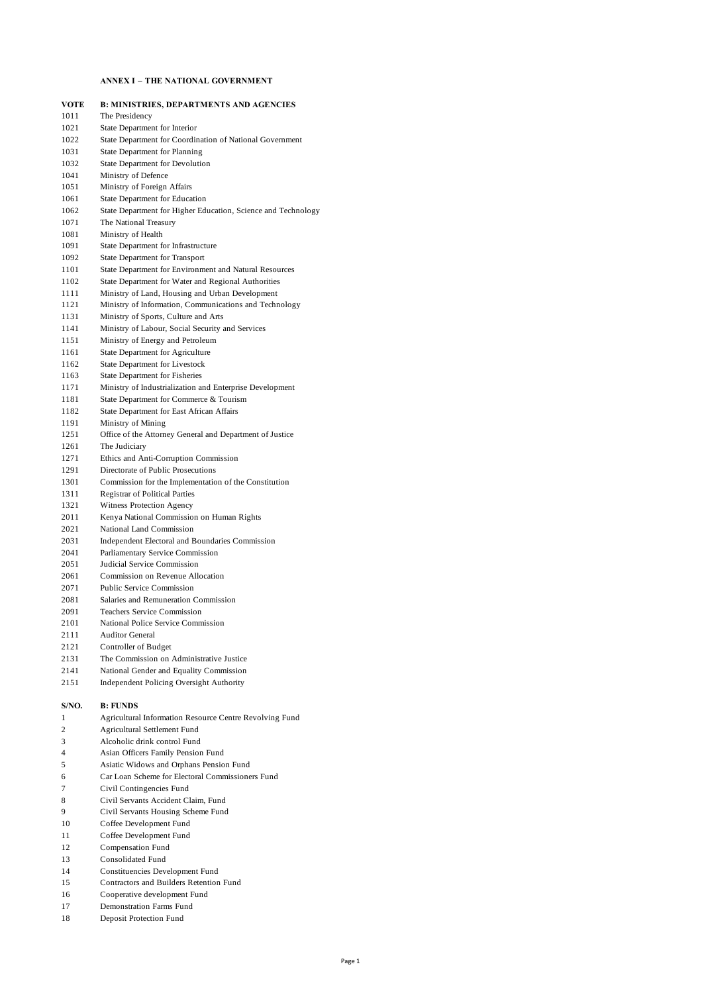# **ANNEX I – THE NATIONAL GOVERNMENT**

| <b>VOTE</b>  | <b>B: MINISTRIES, DEPARTMENTS AND AGENCIES</b>                  |
|--------------|-----------------------------------------------------------------|
| 1011         | The Presidency                                                  |
| 1021         | State Department for Interior                                   |
| 1022         | State Department for Coordination of National Government        |
| 1031         | State Department for Planning                                   |
| 1032         | State Department for Devolution                                 |
| 1041         | Ministry of Defence                                             |
| 1051         | Ministry of Foreign Affairs                                     |
| 1061         | State Department for Education                                  |
| 1062         | State Department for Higher Education, Science and Technology   |
| 1071         | The National Treasury                                           |
| 1081         | Ministry of Health                                              |
| 1091         | State Department for Infrastructure                             |
| 1092         | State Department for Transport                                  |
| 1101         | State Department for Environment and Natural Resources          |
| 1102         | State Department for Water and Regional Authorities             |
| 1111         | Ministry of Land, Housing and Urban Development                 |
| 1121         | Ministry of Information, Communications and Technology          |
| 1131         | Ministry of Sports, Culture and Arts                            |
| 1141         | Ministry of Labour, Social Security and Services                |
| 1151         | Ministry of Energy and Petroleum                                |
| 1161         | State Department for Agriculture                                |
| 1162         | State Department for Livestock                                  |
| 1163         | <b>State Department for Fisheries</b>                           |
| 1171         | Ministry of Industrialization and Enterprise Development        |
| 1181         | State Department for Commerce & Tourism                         |
| 1182         | State Department for East African Affairs                       |
| 1191         | Ministry of Mining                                              |
| 1251         | Office of the Attorney General and Department of Justice        |
| 1261         | The Judiciary                                                   |
| 1271         | Ethics and Anti-Corruption Commission                           |
| 1291         | Directorate of Public Prosecutions                              |
| 1301         | Commission for the Implementation of the Constitution           |
| 1311         | <b>Registrar of Political Parties</b>                           |
| 1321         | Witness Protection Agency                                       |
| 2011         | Kenya National Commission on Human Rights                       |
| 2021         | National Land Commission                                        |
| 2031         | Independent Electoral and Boundaries Commission                 |
| 2041         | Parliamentary Service Commission<br>Judicial Service Commission |
| 2051<br>2061 | Commission on Revenue Allocation                                |
| 2071         | <b>Public Service Commission</b>                                |
| 2081         | Salaries and Remuneration Commission                            |
| 2091         | <b>Teachers Service Commission</b>                              |
| 2101         | National Police Service Commission                              |
| 2111         | <b>Auditor General</b>                                          |
| 2121         | Controller of Budget                                            |
| 2131         | The Commission on Administrative Justice                        |
| 2141         | National Gender and Equality Commission                         |
| 2151         | <b>Independent Policing Oversight Authority</b>                 |
| S/NO.        | <b>B: FUNDS</b>                                                 |
| 1            | Agricultural Information Resource Centre Revolving Fund         |
| 2            | Agricultural Settlement Fund                                    |
| 3            | Alcoholic drink control Fund                                    |
| 4            | Asian Officers Family Pension Fund                              |
| 5            | Asiatic Widows and Orphans Pension Fund                         |
| 6            | Car Loan Scheme for Electoral Commissioners Fund                |
| 7            | Civil Contingencies Fund                                        |
| 8            | Civil Servants Accident Claim, Fund                             |
| 9            | Civil Servants Housing Scheme Fund                              |
|              |                                                                 |

- 10 Coffee Development Fund<br>11 Coffee Development Fund Coffee Development Fund
- Compensation Fund
- Consolidated Fund
- 
- Constituencies Development Fund
- Contractors and Builders Retention Fund
- Cooperative development Fund Demonstration Farms Fund
- Deposit Protection Fund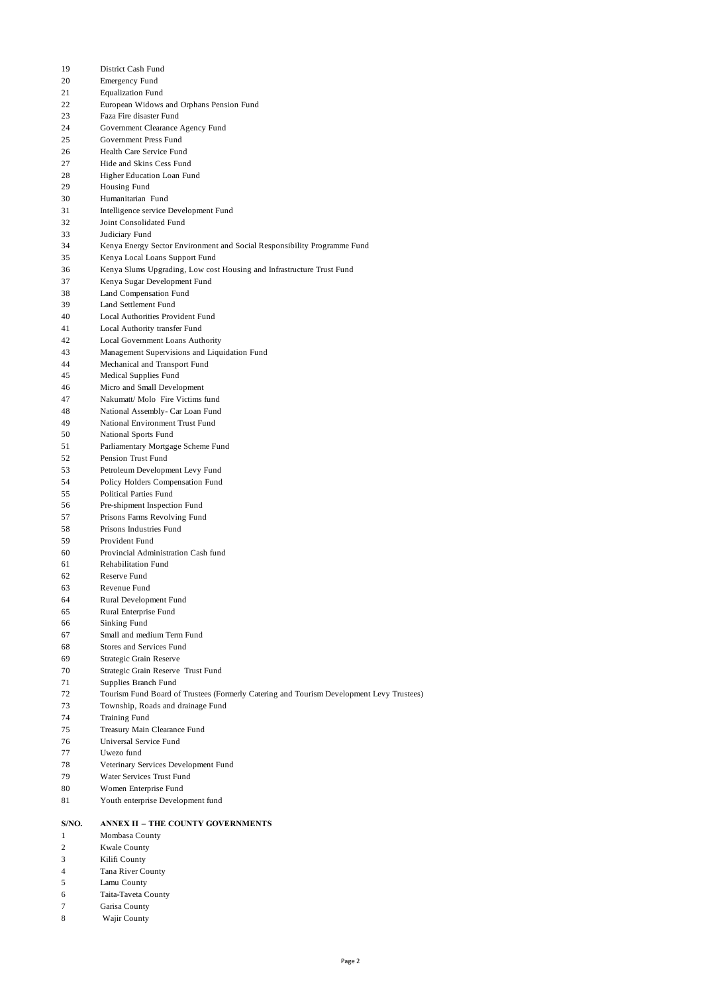- District Cash Fund
- Emergency Fund
- Equalization Fund
- European Widows and Orphans Pension Fund
- Faza Fire disaster Fund
- Government Clearance Agency Fund
- Government Press Fund
- Health Care Service Fund
- Hide and Skins Cess Fund
- Higher Education Loan Fund
- Housing Fund
- Humanitarian Fund
- Intelligence service Development Fund
- Joint Consolidated Fund
- Judiciary Fund
- Kenya Energy Sector Environment and Social Responsibility Programme Fund
- Kenya Local Loans Support Fund
- Kenya Slums Upgrading, Low cost Housing and Infrastructure Trust Fund
- Kenya Sugar Development Fund
- Land Compensation Fund
- Land Settlement Fund
- Local Authorities Provident Fund
- Local Authority transfer Fund
- Local Government Loans Authority
- Management Supervisions and Liquidation Fund
- Mechanical and Transport Fund
- Medical Supplies Fund
- Micro and Small Development
- Nakumatt/ Molo Fire Victims fund National Assembly- Car Loan Fund
- National Environment Trust Fund
- National Sports Fund
- Parliamentary Mortgage Scheme Fund
- Pension Trust Fund
- Petroleum Development Levy Fund
- Policy Holders Compensation Fund
- Political Parties Fund
- Pre-shipment Inspection Fund
- Prisons Farms Revolving Fund
- Prisons Industries Fund
- Provident Fund
- Provincial Administration Cash fund
- Rehabilitation Fund
- Reserve Fund
- Revenue Fund
- Rural Development Fund
- Rural Enterprise Fund
- Sinking Fund
- Small and medium Term Fund
- Stores and Services Fund
- Strategic Grain Reserve
- Strategic Grain Reserve Trust Fund
- Supplies Branch Fund
- Tourism Fund Board of Trustees (Formerly Catering and Tourism Development Levy Trustees)
- Township, Roads and drainage Fund
- Training Fund
- Treasury Main Clearance Fund
- Universal Service Fund
- Uwezo fund
- Veterinary Services Development Fund
- Water Services Trust Fund
- Women Enterprise Fund
- Youth enterprise Development fund

# **S/NO. ANNEX II – THE COUNTY GOVERNMENTS**

- Mombasa County
- Kwale County
- Kilifi County
- Tana River County
- Lamu County
- Taita-Taveta County
- Garisa County
- 8 Wajir County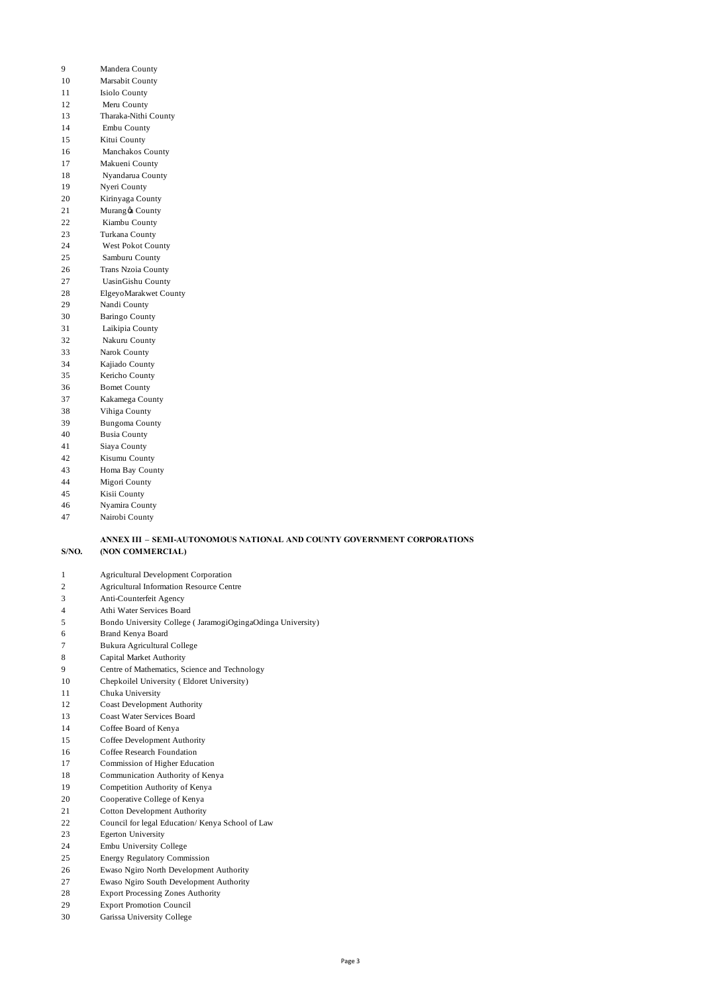- Mandera County
- Marsabit County
- 11 Isiolo County
- 12 Meru County
- Tharaka-Nithi County
- 14 Embu County
- Kitui County
- 16 Manchakos County
- Makueni County
- 18 Nyandarua County
- Nyeri County Kirinyaga County
- 21 Murang oa County
- 22 Kiambu County
- Turkana County
- 24 West Pokot County
- 25 Samburu County
- Trans Nzoia County
- 27 UasinGishu County
- ElgeyoMarakwet County
- Nandi County
- Baringo County 31 Laikipia County
- 32 Nakuru County
- Narok County
- Kajiado County
- Kericho County
- Bomet County
- Kakamega County
- Vihiga County
- Bungoma County
- Busia County
- Siaya County
- Kisumu County
- Homa Bay County
- Migori County
- Kisii County
- Nyamira County
- Nairobi County

#### **S/NO. ANNEX III – SEMI-AUTONOMOUS NATIONAL AND COUNTY GOVERNMENT CORPORATIONS (NON COMMERCIAL)**

- Agricultural Development Corporation
- Agricultural Information Resource Centre
- Anti-Counterfeit Agency
- Athi Water Services Board
- Bondo University College ( JaramogiOgingaOdinga University)
- Brand Kenya Board
- Bukura Agricultural College
- Capital Market Authority
- Centre of Mathematics, Science and Technology
- Chepkoilel University ( Eldoret University)
- Chuka University
- Coast Development Authority
- Coast Water Services Board
- Coffee Board of Kenya
- Coffee Development Authority
- Coffee Research Foundation
- Commission of Higher Education
- Communication Authority of Kenya
- Competition Authority of Kenya
- Cooperative College of Kenya
- Cotton Development Authority
- Council for legal Education/ Kenya School of Law
- Egerton University
- Embu University College
- Energy Regulatory Commission
- Ewaso Ngiro North Development Authority
- Ewaso Ngiro South Development Authority
- Export Processing Zones Authority
- Export Promotion Council
- Garissa University College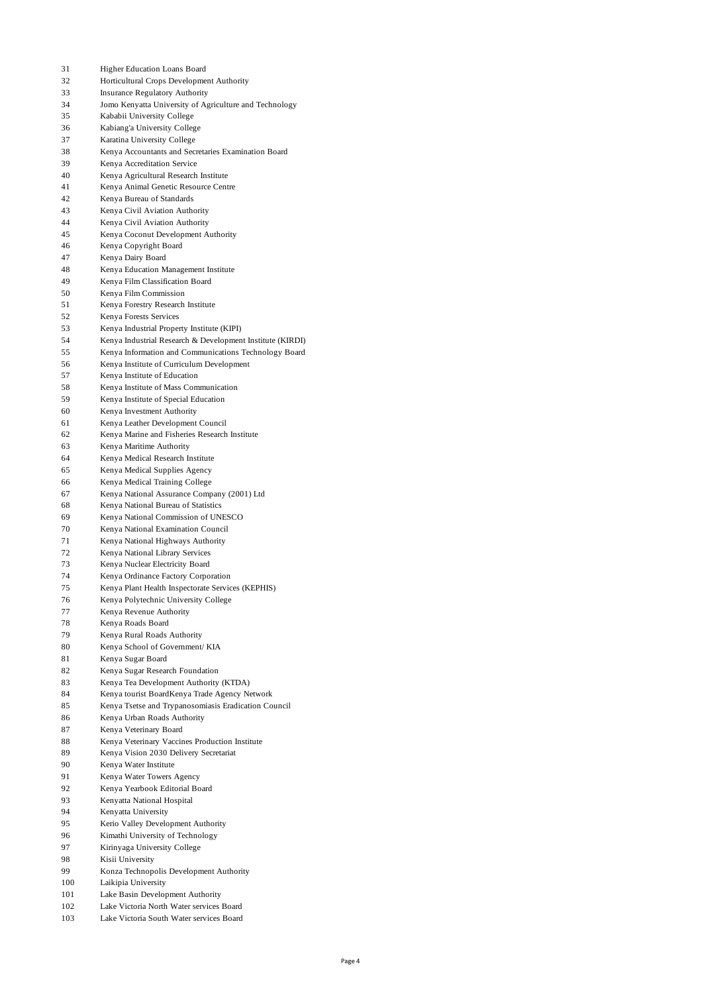| 31       | Higher Education Loans Board                                                  |
|----------|-------------------------------------------------------------------------------|
| 32       | Horticultural Crops Development Authority                                     |
| 33       | <b>Insurance Regulatory Authority</b>                                         |
| 34       | Jomo Kenyatta University of Agriculture and Technology                        |
| 35       | Kababii University College                                                    |
| 36       | Kabiang'a University College                                                  |
| 37       | Karatina University College                                                   |
| 38       | Kenya Accountants and Secretaries Examination Board                           |
| 39<br>40 | Kenya Accreditation Service                                                   |
| 41       | Kenya Agricultural Research Institute<br>Kenya Animal Genetic Resource Centre |
| 42       | Kenya Bureau of Standards                                                     |
| 43       | Kenya Civil Aviation Authority                                                |
| 44       | Kenya Civil Aviation Authority                                                |
| 45       | Kenya Coconut Development Authority                                           |
| 46       | Kenya Copyright Board                                                         |
| 47       | Kenya Dairy Board                                                             |
| 48       | Kenya Education Management Institute                                          |
| 49       | Kenya Film Classification Board                                               |
| 50       | Kenya Film Commission                                                         |
| 51       | Kenya Forestry Research Institute                                             |
| 52       | Kenya Forests Services                                                        |
| 53       | Kenya Industrial Property Institute (KIPI)                                    |
| 54       | Kenya Industrial Research & Development Institute (KIRDI)                     |
| 55       | Kenya Information and Communications Technology Board                         |
| 56       | Kenya Institute of Curriculum Development                                     |
| 57       | Kenya Institute of Education                                                  |
| 58       | Kenya Institute of Mass Communication                                         |
| 59<br>60 | Kenya Institute of Special Education                                          |
| 61       | Kenya Investment Authority<br>Kenya Leather Development Council               |
| 62       | Kenya Marine and Fisheries Research Institute                                 |
| 63       | Kenya Maritime Authority                                                      |
| 64       | Kenya Medical Research Institute                                              |
| 65       | Kenya Medical Supplies Agency                                                 |
| 66       | Kenya Medical Training College                                                |
| 67       | Kenya National Assurance Company (2001) Ltd                                   |
| 68       | Kenya National Bureau of Statistics                                           |
| 69       | Kenya National Commission of UNESCO                                           |
| 70       | Kenya National Examination Council                                            |
| 71       | Kenya National Highways Authority                                             |
| 72       | Kenya National Library Services                                               |
| 73       | Kenya Nuclear Electricity Board                                               |
| 74       | Kenya Ordinance Factory Corporation                                           |
| 75       | Kenya Plant Health Inspectorate Services (KEPHIS)                             |
| 76       | Kenya Polytechnic University College                                          |
| 77       | Kenya Revenue Authority                                                       |
| 78       | Kenya Roads Board                                                             |
| 79       | Kenya Rural Roads Authority                                                   |
| 80<br>81 | Kenya School of Government/KIA<br>Kenya Sugar Board                           |
| 82       | Kenya Sugar Research Foundation                                               |
| 83       | Kenva Tea Development Authority (KTDA)                                        |
| 84       | Kenya tourist BoardKenya Trade Agency Network                                 |
| 85       | Kenya Tsetse and Trypanosomiasis Eradication Council                          |
| 86       | Kenya Urban Roads Authority                                                   |
| 87       | Kenya Veterinary Board                                                        |
| 88       | Kenya Veterinary Vaccines Production Institute                                |
| 89       | Kenya Vision 2030 Delivery Secretariat                                        |
| 90       | Kenya Water Institute                                                         |
| 91       | Kenya Water Towers Agency                                                     |
| 92       | Kenya Yearbook Editorial Board                                                |
| 93       | Kenyatta National Hospital                                                    |
| 94       | Kenyatta University                                                           |
| 95       | Kerio Valley Development Authority                                            |
| 96       | Kimathi University of Technology                                              |
| 97       | Kirinyaga University College                                                  |
| 98       | Kisii University                                                              |
| 99       | Konza Technopolis Development Authority                                       |
| 100      | Laikipia University                                                           |
| 101      | Lake Basin Development Authority                                              |
| 102      | Lake Victoria North Water services Board                                      |

Lake Victoria South Water services Board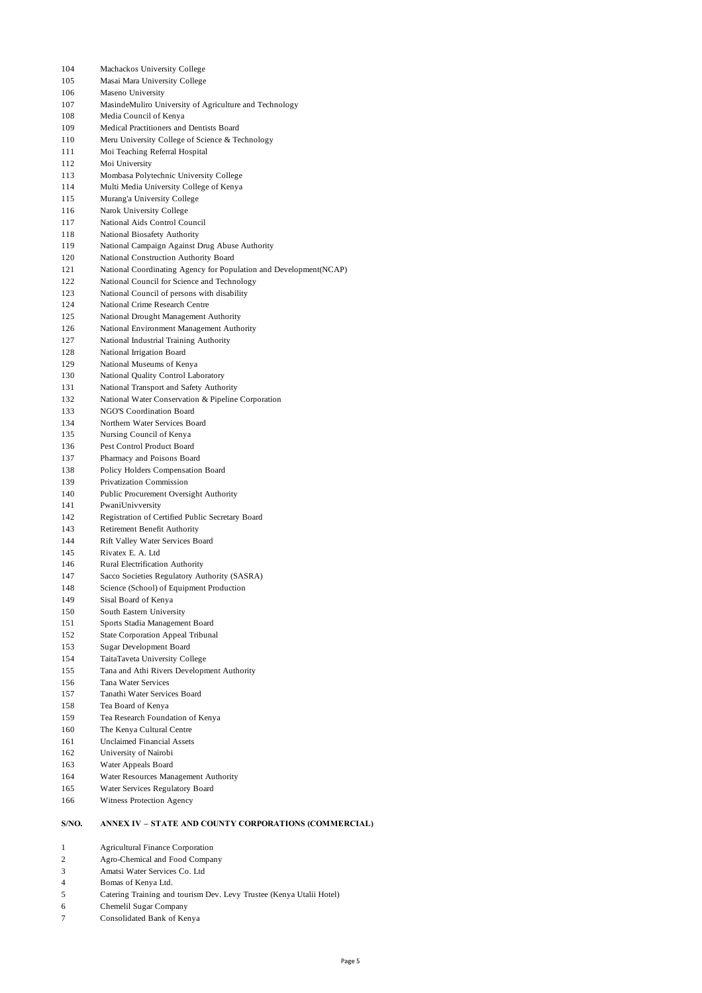- Machackos University College Masai Mara University College Maseno University MasindeMuliro University of Agriculture and Technology Media Council of Kenya Medical Practitioners and Dentists Board Meru University College of Science & Technology Moi Teaching Referral Hospital Moi University Mombasa Polytechnic University College Multi Media University College of Kenya Murang'a University College Narok University College National Aids Control Council National Biosafety Authority National Campaign Against Drug Abuse Authority National Construction Authority Board National Coordinating Agency for Population and Development(NCAP) 122 National Council for Science and Technology National Council of persons with disability National Crime Research Centre National Drought Management Authority National Environment Management Authority National Industrial Training Authority 128 National Irrigation Board National Museums of Kenya National Quality Control Laboratory National Transport and Safety Authority National Water Conservation & Pipeline Corporation NGO'S Coordination Board Northern Water Services Board Nursing Council of Kenya Pest Control Product Board Pharmacy and Poisons Board Policy Holders Compensation Board Privatization Commission Public Procurement Oversight Authority PwaniUnivversity Registration of Certified Public Secretary Board Retirement Benefit Authority Rift Valley Water Services Board Rivatex E. A. Ltd Rural Electrification Authority Sacco Societies Regulatory Authority (SASRA) Science (School) of Equipment Production Sisal Board of Kenya South Eastern University Sports Stadia Management Board State Corporation Appeal Tribunal Sugar Development Board TaitaTaveta University College Tana and Athi Rivers Development Authority Tana Water Services Tanathi Water Services Board Tea Board of Kenya Tea Research Foundation of Kenya The Kenya Cultural Centre Unclaimed Financial Assets
	- University of Nairobi
	- Water Appeals Board
	- Water Resources Management Authority
	- Water Services Regulatory Board
	- Witness Protection Agency

### **S/NO. ANNEX IV – STATE AND COUNTY CORPORATIONS (COMMERCIAL)**

- Agricultural Finance Corporation
- Agro-Chemical and Food Company
- Amatsi Water Services Co. Ltd
- Bomas of Kenya Ltd.
- Catering Training and tourism Dev. Levy Trustee (Kenya Utalii Hotel)
- Chemelil Sugar Company
- Consolidated Bank of Kenya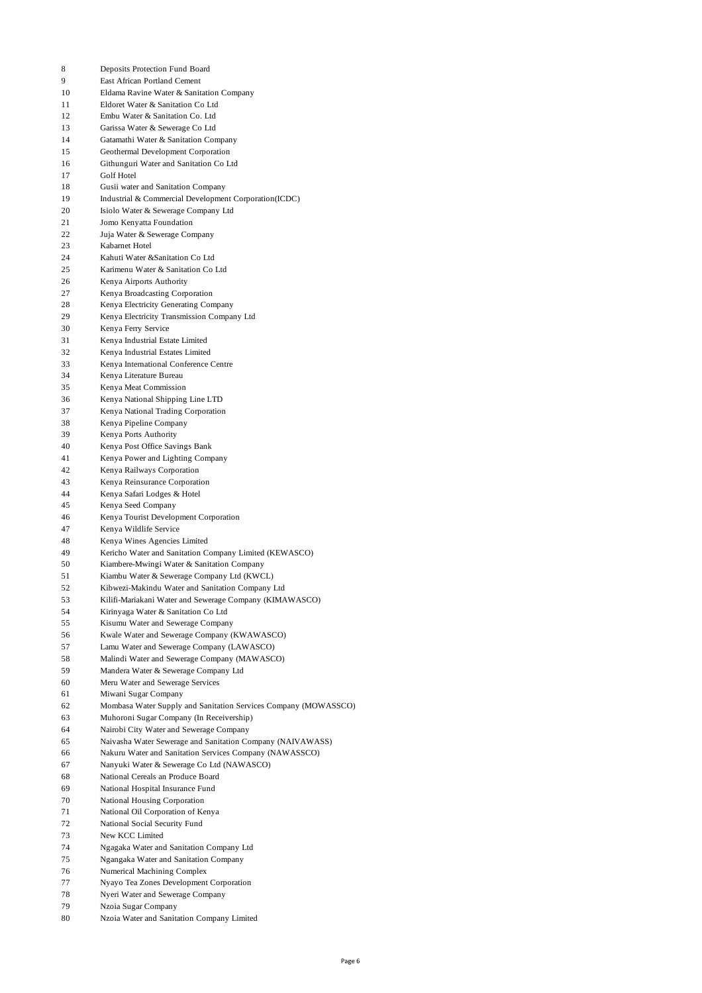- Deposits Protection Fund Board East African Portland Cement Eldama Ravine Water & Sanitation Company Eldoret Water & Sanitation Co Ltd Embu Water & Sanitation Co. Ltd Garissa Water & Sewerage Co Ltd Gatamathi Water & Sanitation Company Geothermal Development Corporation Githunguri Water and Sanitation Co Ltd Golf Hotel Gusii water and Sanitation Company Industrial & Commercial Development Corporation(ICDC) Isiolo Water & Sewerage Company Ltd Jomo Kenyatta Foundation Juja Water & Sewerage Company Kabarnet Hotel Kahuti Water &Sanitation Co Ltd Karimenu Water & Sanitation Co Ltd Kenya Airports Authority Kenya Broadcasting Corporation Kenya Electricity Generating Company Kenya Electricity Transmission Company Ltd Kenya Ferry Service Kenya Industrial Estate Limited Kenya Industrial Estates Limited Kenya International Conference Centre Kenya Literature Bureau Kenya Meat Commission Kenya National Shipping Line LTD Kenya National Trading Corporation Kenya Pipeline Company Kenya Ports Authority Kenya Post Office Savings Bank Kenya Power and Lighting Company Kenya Railways Corporation Kenya Reinsurance Corporation Kenya Safari Lodges & Hotel Kenya Seed Company Kenya Tourist Development Corporation Kenya Wildlife Service Kenya Wines Agencies Limited Kericho Water and Sanitation Company Limited (KEWASCO) Kiambere-Mwingi Water & Sanitation Company Kiambu Water & Sewerage Company Ltd (KWCL) Kibwezi-Makindu Water and Sanitation Company Ltd Kilifi-Mariakani Water and Sewerage Company (KIMAWASCO) Kirinyaga Water & Sanitation Co Ltd Kisumu Water and Sewerage Company Kwale Water and Sewerage Company (KWAWASCO) Lamu Water and Sewerage Company (LAWASCO) Malindi Water and Sewerage Company (MAWASCO) Mandera Water & Sewerage Company Ltd Meru Water and Sewerage Services Miwani Sugar Company Mombasa Water Supply and Sanitation Services Company (MOWASSCO) Muhoroni Sugar Company (In Receivership) Nairobi City Water and Sewerage Company Naivasha Water Sewerage and Sanitation Company (NAIVAWASS) Nakuru Water and Sanitation Services Company (NAWASSCO) Nanyuki Water & Sewerage Co Ltd (NAWASCO) National Cereals an Produce Board National Hospital Insurance Fund National Housing Corporation National Oil Corporation of Kenya National Social Security Fund New KCC Limited Ngagaka Water and Sanitation Company Ltd Ngangaka Water and Sanitation Company Numerical Machining Complex
- Nyayo Tea Zones Development Corporation
- Nyeri Water and Sewerage Company
- Nzoia Sugar Company
- Nzoia Water and Sanitation Company Limited